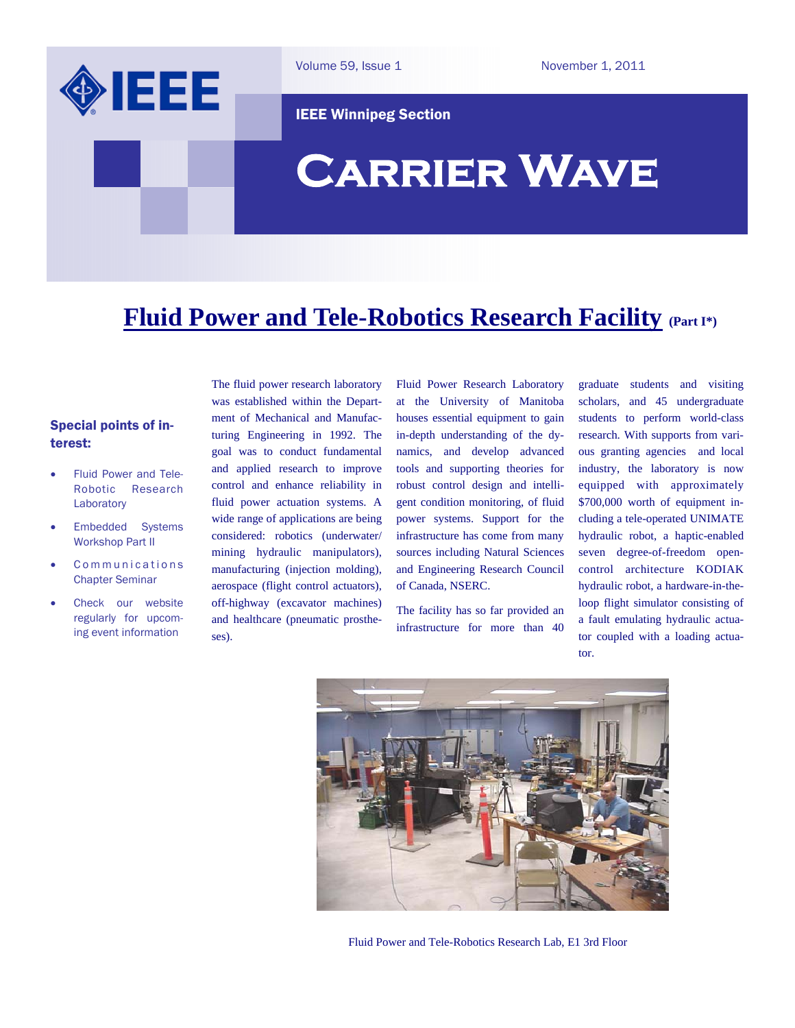

Volume 59, Issue 1

November 1, 2011

IEEE Winnipeg Section

# **Carrier Wave**

### **Fluid Power and Tele-Robotics Research Facility (Part I\*)**

#### Special points of interest:

- Fluid Power and Tele-Robotic Research Laboratory
- Embedded Systems Workshop Part II
- Communications Chapter Seminar
- Check our website regularly for upcoming event information

The fluid power research laboratory was established within the Department of Mechanical and Manufacturing Engineering in 1992. The goal was to conduct fundamental and applied research to improve control and enhance reliability in fluid power actuation systems. A wide range of applications are being considered: robotics (underwater/ mining hydraulic manipulators), manufacturing (injection molding), aerospace (flight control actuators), off-highway (excavator machines) and healthcare (pneumatic prostheses).

Fluid Power Research Laboratory at the University of Manitoba houses essential equipment to gain in-depth understanding of the dynamics, and develop advanced tools and supporting theories for robust control design and intelligent condition monitoring, of fluid power systems. Support for the infrastructure has come from many sources including Natural Sciences and Engineering Research Council of Canada, NSERC.

The facility has so far provided an infrastructure for more than 40 graduate students and visiting scholars, and 45 undergraduate students to perform world-class research. With supports from various granting agencies and local industry, the laboratory is now equipped with approximately \$700,000 worth of equipment including a tele-operated UNIMATE hydraulic robot, a haptic-enabled seven degree-of-freedom opencontrol architecture KODIAK hydraulic robot, a hardware-in-theloop flight simulator consisting of a fault emulating hydraulic actuator coupled with a loading actuator.



Fluid Power and Tele-Robotics Research Lab, E1 3rd Floor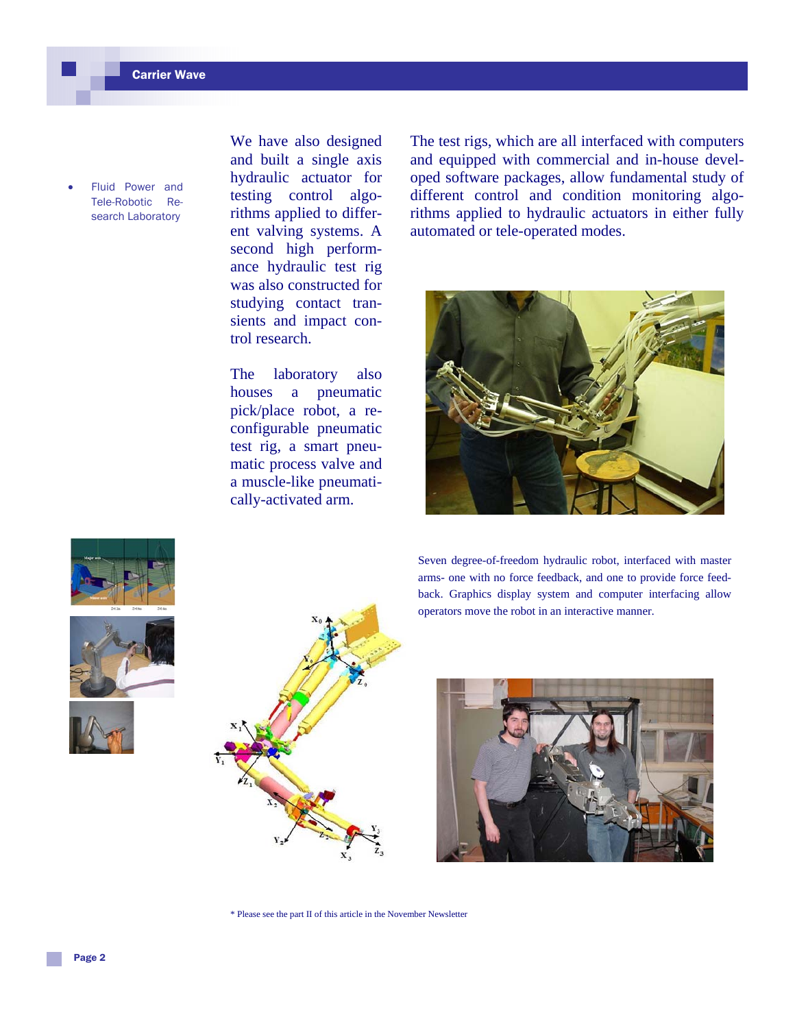Fluid Power and Tele-Robotic Research Laboratory

We have also designed and built a single axis hydraulic actuator for testing control algorithms applied to different valving systems. A second high performance hydraulic test rig was also constructed for studying contact transients and impact control research.

The laboratory also houses a pneumatic pick/place robot, a reconfigurable pneumatic test rig, a smart pneumatic process valve and a muscle-like pneumatically-activated arm.

The test rigs, which are all interfaced with computers and equipped with commercial and in-house developed software packages, allow fundamental study of different control and condition monitoring algorithms applied to hydraulic actuators in either fully automated or tele-operated modes.



Seven degree-of-freedom hydraulic robot, interfaced with master arms- one with no force feedback, and one to provide force feedback. Graphics display system and computer interfacing allow operators move the robot in an interactive manner.



\* Please see the part II of this article in the November Newsletter







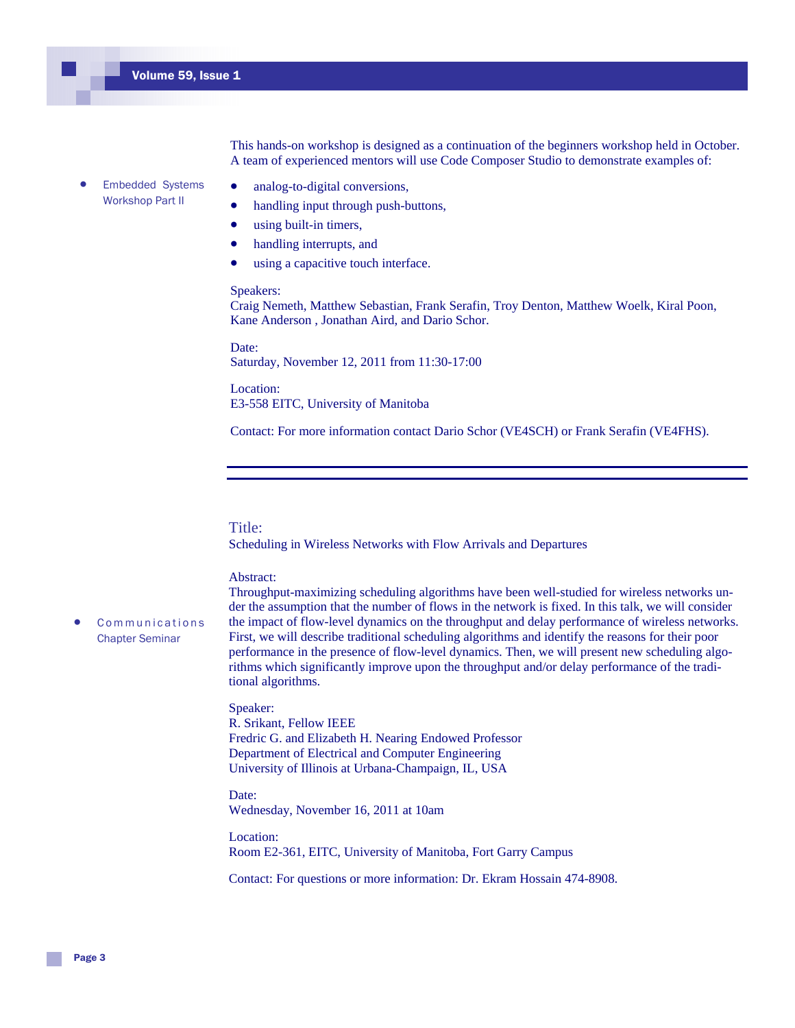This hands-on workshop is designed as a continuation of the beginners workshop held in October. A team of experienced mentors will use Code Composer Studio to demonstrate examples of:

- Embedded Systems Workshop Part II
- analog-to-digital conversions,
- handling input through push-buttons,
- using built-in timers,
- handling interrupts, and
- using a capacitive touch interface.

#### Speakers:

Craig Nemeth, Matthew Sebastian, Frank Serafin, Troy Denton, Matthew Woelk, Kiral Poon, Kane Anderson , Jonathan Aird, and Dario Schor.

Date: Saturday, November 12, 2011 from 11:30-17:00

Location: E3-558 EITC, University of Manitoba

Contact: For more information contact Dario Schor (VE4SCH) or Frank Serafin (VE4FHS).

#### Title:

Scheduling in Wireless Networks with Flow Arrivals and Departures

#### Abstract:

**Communications** Chapter Seminar

Throughput-maximizing scheduling algorithms have been well-studied for wireless networks under the assumption that the number of flows in the network is fixed. In this talk, we will consider the impact of flow-level dynamics on the throughput and delay performance of wireless networks. First, we will describe traditional scheduling algorithms and identify the reasons for their poor performance in the presence of flow-level dynamics. Then, we will present new scheduling algorithms which significantly improve upon the throughput and/or delay performance of the traditional algorithms.

#### Speaker:

R. Srikant, Fellow IEEE Fredric G. and Elizabeth H. Nearing Endowed Professor Department of Electrical and Computer Engineering University of Illinois at Urbana-Champaign, IL, USA

Date: Wednesday, November 16, 2011 at 10am

Location: Room E2-361, EITC, University of Manitoba, Fort Garry Campus

Contact: For questions or more information: Dr. Ekram Hossain 474-8908.